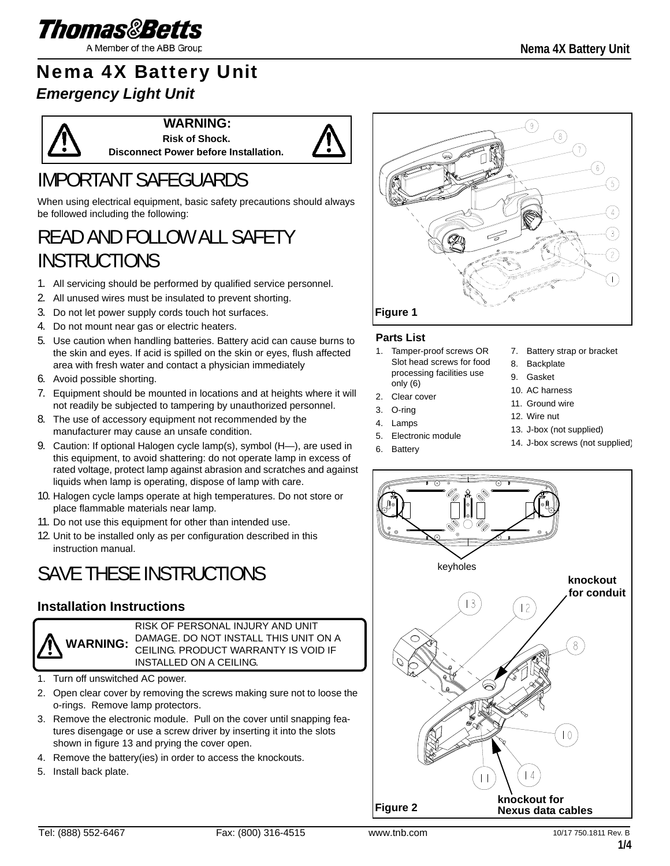

# Nema 4X Battery Unit

## *Emergency Light Unit*



**WARNING:**

**Risk of Shock. Disconnect Power before Installation.**



# IMPORTANT SAFEGUARDS

When using electrical equipment, basic safety precautions should always be followed including the following:

## READ AND FOLLOW ALL SAFETY **INSTRUCTIONS**

- 1. All servicing should be performed by qualified service personnel.
- 2. All unused wires must be insulated to prevent shorting.
- 3. Do not let power supply cords touch hot surfaces.
- 4. Do not mount near gas or electric heaters.
- 5. Use caution when handling batteries. Battery acid can cause burns to the skin and eyes. If acid is spilled on the skin or eyes, flush affected area with fresh water and contact a physician immediately
- 6. Avoid possible shorting.
- 7. Equipment should be mounted in locations and at heights where it will not readily be subjected to tampering by unauthorized personnel.
- 8. The use of accessory equipment not recommended by the manufacturer may cause an unsafe condition.
- 9. Caution: If optional Halogen cycle lamp(s), symbol (H-), are used in this equipment, to avoid shattering: do not operate lamp in excess of rated voltage, protect lamp against abrasion and scratches and against liquids when lamp is operating, dispose of lamp with care.
- 10. Halogen cycle lamps operate at high temperatures. Do not store or place flammable materials near lamp.
- 11. Do not use this equipment for other than intended use.
- 12. Unit to be installed only as per configuration described in this instruction manual.

## SAVE THESE INSTRUCTIONS

### **Installation Instructions**



RISK OF PERSONAL INJURY AND UNIT DAMAGE. DO NOT INSTALL THIS UNIT ON A CEILING. PRODUCT WARRANTY IS VOID IF INSTALLED ON A CEILING.

- 1. Turn off unswitched AC power.
- 2. Open clear cover by removing the screws making sure not to loose the o-rings. Remove lamp protectors.
- 3. Remove the electronic module. Pull on the cover until snapping features disengage or use a screw driver by inserting it into the slots shown in figure 13 and prying the cover open.
- 4. Remove the battery(ies) in order to access the knockouts.
- 5. Install back plate.



#### **Parts List**

- 1. Tamper-proof screws OR Slot head screws for food processing facilities use only (6)
- 2. Clear cover
- 3. O-ring
- 4. Lamps
- 5. Electronic module
- 6. Battery
- 7. Battery strap or bracket
- 8. Backplate
- 9. Gasket
- 10. AC harness
- 11. Ground wire
- 12. Wire nut
- 13. J-box (not supplied)
- 14. J-box screws (not supplied)

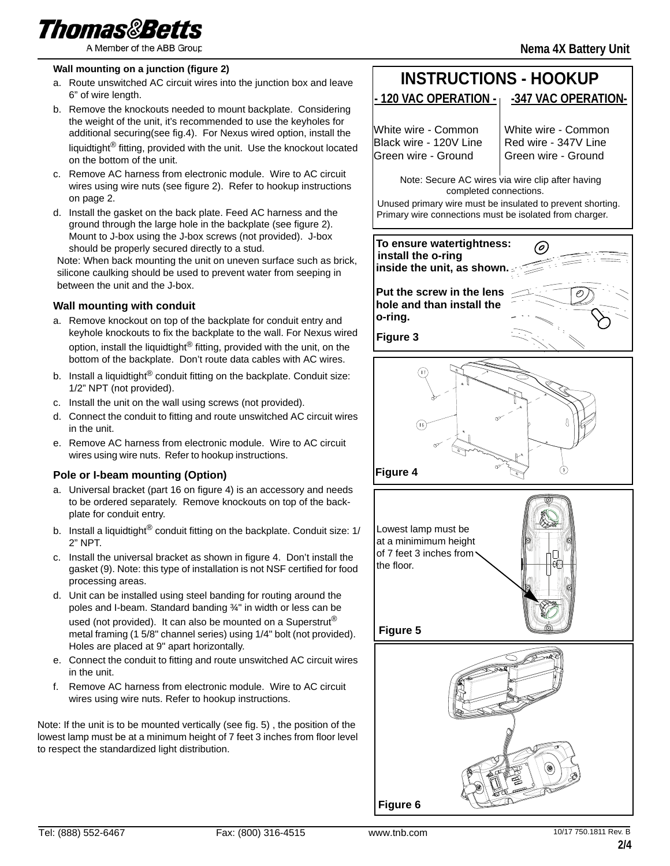

#### **Wall mounting on a junction (figure 2)**

- a. Route unswitched AC circuit wires into the junction box and leave 6" of wire length.
- b. Remove the knockouts needed to mount backplate. Considering the weight of the unit, it's recommended to use the keyholes for additional securing(see fig.4). For Nexus wired option, install the liquidtight® fitting, provided with the unit. Use the knockout located on the bottom of the unit.
- c. Remove AC harness from electronic module. Wire to AC circuit wires using wire nuts (see figure 2). Refer to hookup instructions on page 2.
- d. Install the gasket on the back plate. Feed AC harness and the ground through the large hole in the backplate (see figure 2). Mount to J-box using the J-box screws (not provided). J-box should be properly secured directly to a stud.

Note: When back mounting the unit on uneven surface such as brick, silicone caulking should be used to prevent water from seeping in between the unit and the J-box.

#### **Wall mounting with conduit**

- a. Remove knockout on top of the backplate for conduit entry and keyhole knockouts to fix the backplate to the wall. For Nexus wired option, install the liquidtight<sup>®</sup> fitting, provided with the unit, on the bottom of the backplate. Don't route data cables with AC wires.
- b. Install a liquidtight<sup>®</sup> conduit fitting on the backplate. Conduit size: 1/2" NPT (not provided).
- c. Install the unit on the wall using screws (not provided).
- d. Connect the conduit to fitting and route unswitched AC circuit wires in the unit.
- e. Remove AC harness from electronic module. Wire to AC circuit wires using wire nuts. Refer to hookup instructions.

#### **Pole or I-beam mounting (Option)**

- a. Universal bracket (part 16 on figure 4) is an accessory and needs to be ordered separately. Remove knockouts on top of the backplate for conduit entry.
- b. Install a liquidtight<sup>®</sup> conduit fitting on the backplate. Conduit size:  $1/$ 2" NPT.
- c. Install the universal bracket as shown in figure 4. Don't install the gasket (9). Note: this type of installation is not NSF certified for food processing areas.
- d. Unit can be installed using steel banding for routing around the poles and I-beam. Standard banding ¾" in width or less can be used (not provided). It can also be mounted on a Superstrut<sup>®</sup> metal framing (1 5/8" channel series) using 1/4" bolt (not provided). Holes are placed at 9" apart horizontally.
- e. Connect the conduit to fitting and route unswitched AC circuit wires in the unit.
- f. Remove AC harness from electronic module. Wire to AC circuit wires using wire nuts. Refer to hookup instructions.

Note: If the unit is to be mounted vertically (see fig. 5) , the position of the lowest lamp must be at a minimum height of 7 feet 3 inches from floor level to respect the standardized light distribution.

#### **- 120 VAC OPERATION - -347 VAC OPERATION-INSTRUCTIONS - HOOKUP**

White wire - Common Black wire - 120V Line Green wire - Ground

White wire - Common Red wire - 347V Line Green wire - Ground

**Nema 4X Battery Unit**

completed connections. Note: Secure AC wires via wire clip after having

Unused primary wire must be insulated to prevent shorting. Primary wire connections must be isolated from charger.

**To ensure watertightness:** (o) **install the o-ring inside the unit, as shown.**

**Put the screw in the lens hole and than install the o-ring.**









**Figure 6**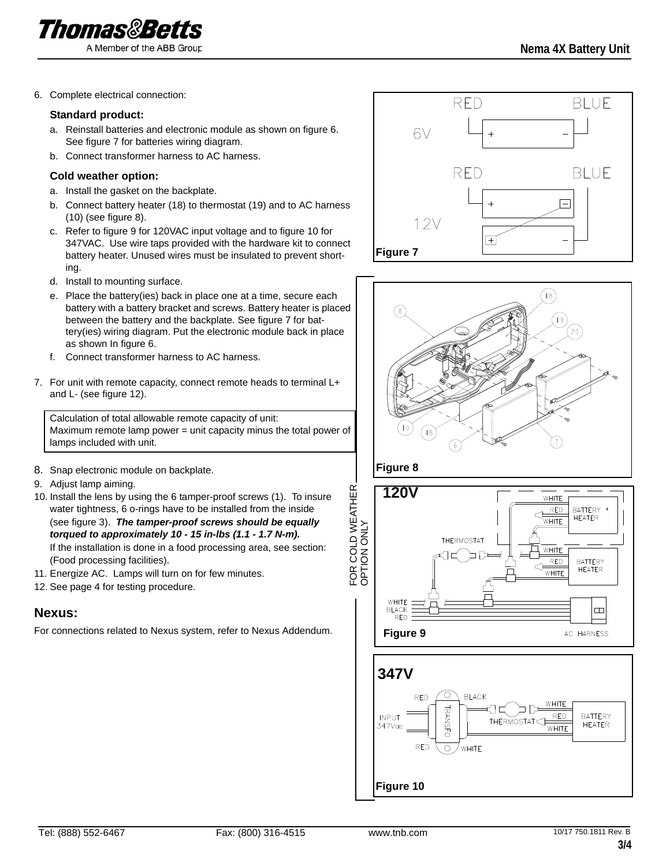

6. Complete electrical connection:

#### **Standard product:**

- a. Reinstall batteries and electronic module as shown on figure 6. See figure 7 for batteries wiring diagram.
- b. Connect transformer harness to AC harness.

#### **Cold weather option:**

- a. Install the gasket on the backplate.
- b. Connect battery heater (18) to thermostat (19) and to AC harness (10) (see figure 8).
- c. Refer to figure 9 for 120VAC input voltage and to figure 10 for 347VAC. Use wire taps provided with the hardware kit to connect battery heater. Unused wires must be insulated to prevent shorting.
- d. Install to mounting surface.
- e. Place the battery(ies) back in place one at a time, secure each battery with a battery bracket and screws. Battery heater is placed between the battery and the backplate. See figure 7 for battery(ies) wiring diagram. Put the electronic module back in place as shown In figure 6.
- f. Connect transformer harness to AC harness.
- 7. For unit with remote capacity, connect remote heads to terminal L+ and L- (see figure 12).

Calculation of total allowable remote capacity of unit: Maximum remote lamp power = unit capacity minus the total power of lamps included with unit.

- 8. Snap electronic module on backplate.
- 9. Adjust lamp aiming.
- 10. Install the lens by using the 6 tamper-proof screws (1). To insure water tightness, 6 o-rings have to be installed from the inside (see figure 3). *The tamper-proof screws should be equally torqued to approximately 10 - 15 in-lbs (1.1 - 1.7 N-m).* If the installation is done in a food processing area, see section: (Food processing facilities).
- 11. Energize AC. Lamps will turn on for few minutes.
- 12. See page 4 for testing procedure.

### **Nexus:**

For connections related to Nexus system, refer to Nexus Addendum.





**Figure 10**